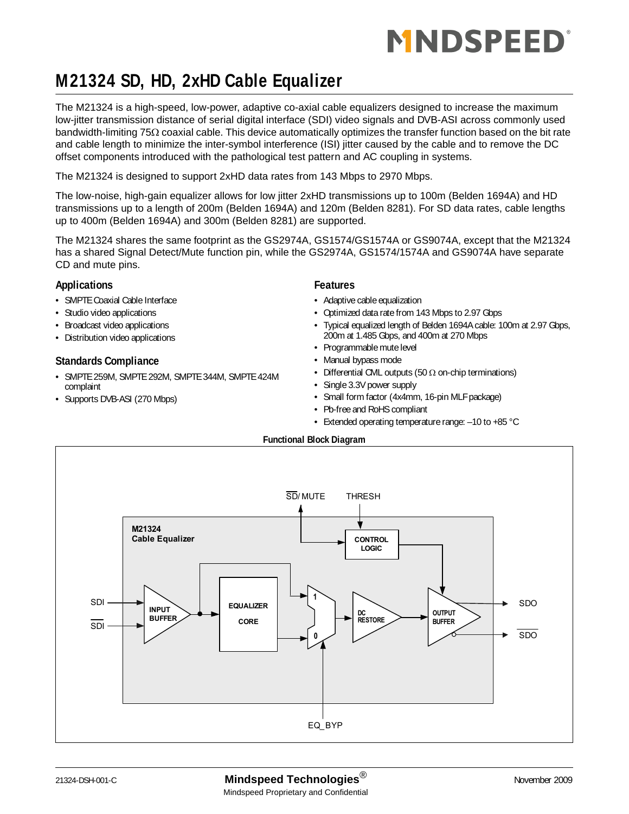# MNDSPEED®

### **M21324 SD, HD, 2xHD Cable Equalizer**

The M21324 is a high-speed, low-power, adaptive co-axial cable equalizers designed to increase the maximum low-jitter transmission distance of serial digital interface (SDI) video signals and DVB-ASI across commonly used bandwidth-limiting 75Ω coaxial cable. This device automatically optimizes the transfer function based on the bit rate and cable length to minimize the inter-symbol interference (ISI) jitter caused by the cable and to remove the DC offset components introduced with the pathological test pattern and AC coupling in systems.

The M21324 is designed to support 2xHD data rates from 143 Mbps to 2970 Mbps.

The low-noise, high-gain equalizer allows for low jitter 2xHD transmissions up to 100m (Belden 1694A) and HD transmissions up to a length of 200m (Belden 1694A) and 120m (Belden 8281). For SD data rates, cable lengths up to 400m (Belden 1694A) and 300m (Belden 8281) are supported.

The M21324 shares the same footprint as the GS2974A, GS1574/GS1574A or GS9074A, except that the M21324 has a shared Signal Detect/Mute function pin, while the GS2974A, GS1574/1574A and GS9074A have separate CD and mute pins.

#### **Applications**

- SMPTE Coaxial Cable Interface
- Studio video applications
- Broadcast video applications
- Distribution video applications

#### **Standards Compliance**

- SMPTE 259M, SMPTE 292M, SMPTE 344M, SMPTE 424M complaint
- Supports DVB-ASI (270 Mbps)

#### **Features**

- Adaptive cable equalization
- Optimized data rate from 143 Mbps to 2.97 Gbps
- Typical equalized length of Belden 1694A cable: 100m at 2.97 Gbps, 200m at 1.485 Gbps, and 400m at 270 Mbps
- Programmable mute level
- Manual bypass mode
- Differential CML outputs (50  $\Omega$  on-chip terminations)
- Single 3.3V power supply
- Small form factor (4x4mm, 16-pin MLF package)
- Pb-free and RoHS compliant
- Extended operating temperature range: –10 to +85 °C

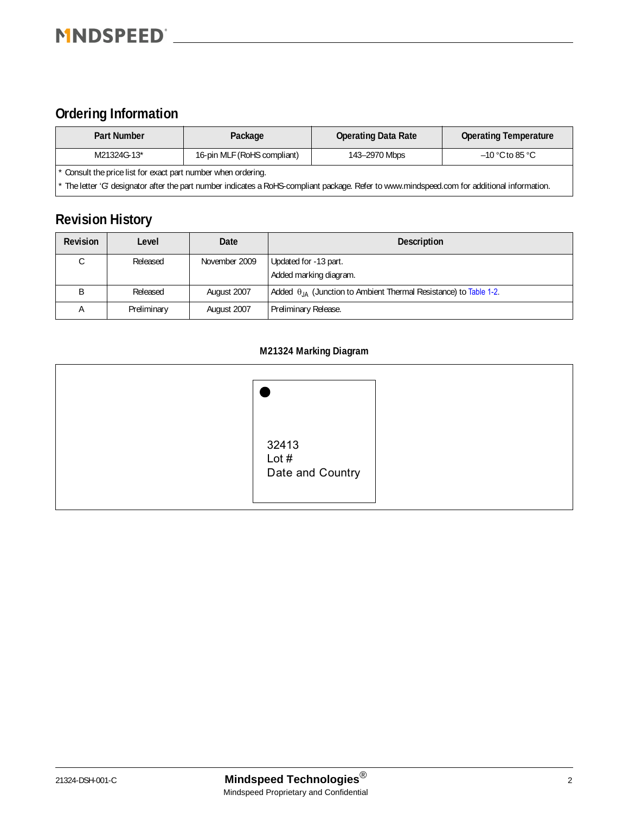### <span id="page-1-0"></span>**Ordering Information**

| Part Number | Package                                                                                                                                      | <b>Operating Data Rate</b> | <b>Operating Temperature</b> |  |  |  |  |  |
|-------------|----------------------------------------------------------------------------------------------------------------------------------------------|----------------------------|------------------------------|--|--|--|--|--|
| M21324G-13* | 16-pin MLF (RoHS compliant)                                                                                                                  | 143-2970 Mbps              | $-10$ °C to 85 °C.           |  |  |  |  |  |
|             | * Consult the price list for exact part number when ordering.                                                                                |                            |                              |  |  |  |  |  |
|             | * The letter 'G' designator after the part number indicates a RoHS-compliant package. Refer to www.mindspeed.com for additional information. |                            |                              |  |  |  |  |  |

### <span id="page-1-1"></span>**Revision History**

| <b>Revision</b> | Level       | Date          | <b>Description</b>                                                         |
|-----------------|-------------|---------------|----------------------------------------------------------------------------|
|                 | Released    | November 2009 | Updated for -13 part.                                                      |
|                 |             |               | Added marking diagram.                                                     |
|                 | Released    | August 2007   | Added $\theta_{JA}$ (Junction to Ambient Thermal Resistance) to Table 1-2. |
| А               | Preliminary | August 2007   | Preliminary Release.                                                       |

#### **M21324 Marking Diagram**

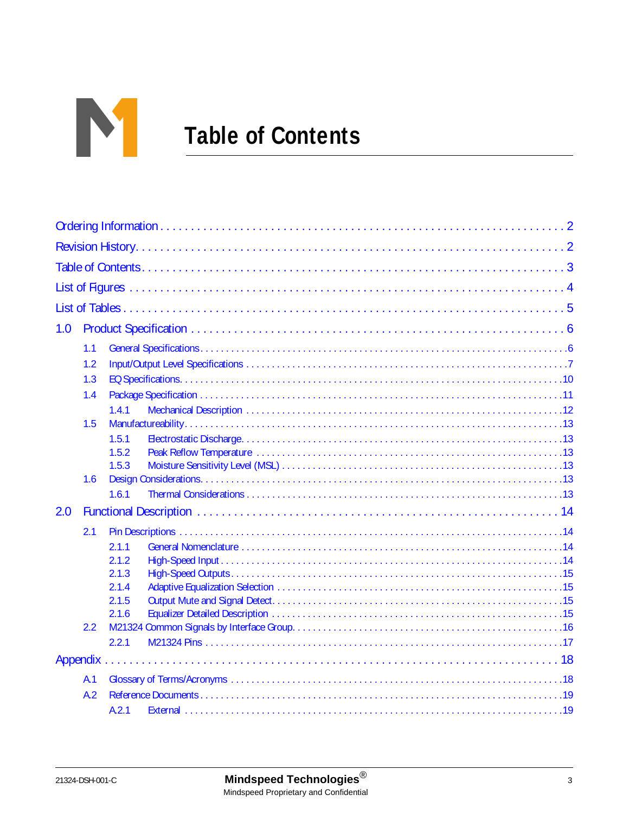

# <span id="page-2-0"></span>**Table of Contents**

| 1.0 |     |                |  |
|-----|-----|----------------|--|
|     | 1.1 |                |  |
|     | 1.2 |                |  |
|     | 1.3 |                |  |
|     | 1.4 |                |  |
|     |     | 1.4.1          |  |
|     | 1.5 |                |  |
|     |     | 1.5.1<br>1.5.2 |  |
|     |     | 1.5.3          |  |
|     | 1.6 |                |  |
|     |     | 1.6.1          |  |
| 2.0 |     |                |  |
|     | 2.1 |                |  |
|     |     | 2.1.1          |  |
|     |     | 2.1.2          |  |
|     |     | 2.1.3          |  |
|     |     | 2.1.4          |  |
|     |     | 2.1.5<br>2.1.6 |  |
|     | 2.2 |                |  |
|     |     | 2.2.1          |  |
|     |     |                |  |
|     | A.1 |                |  |
|     | A.2 |                |  |
|     |     | A.2.1          |  |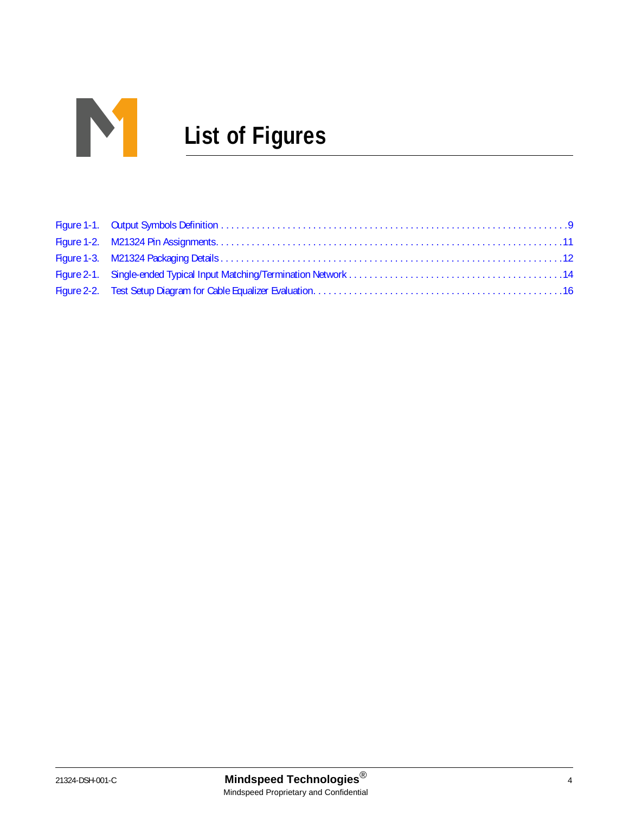

# <span id="page-3-0"></span>**List of Figures**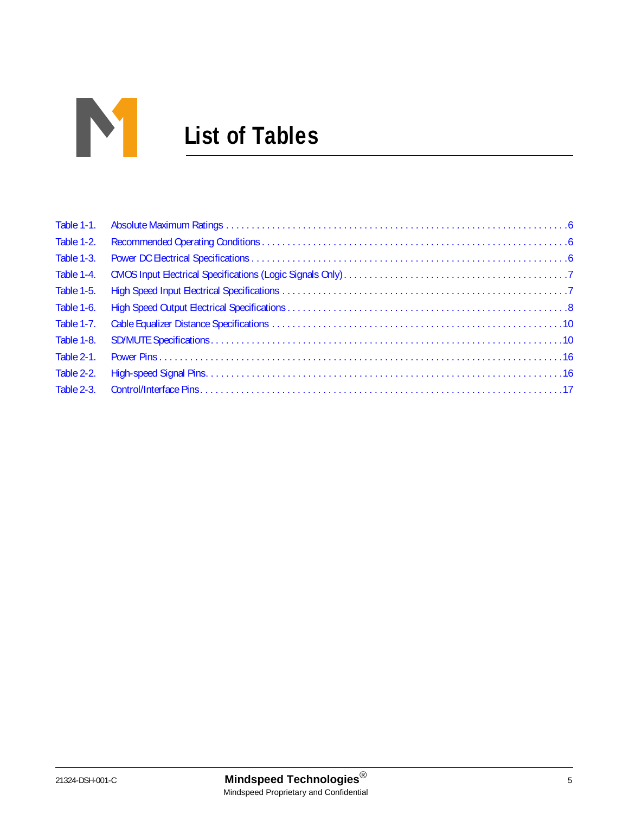<span id="page-4-0"></span>

| Table 1-1. |  |
|------------|--|
| Table 1-2. |  |
| Table 1-3. |  |
| Table 1-4. |  |
| Table 1-5. |  |
| Table 1-6. |  |
| Table 1-7. |  |
| Table 1-8. |  |
| Table 2-1. |  |
| Table 2-2. |  |
| Table 2-3. |  |
|            |  |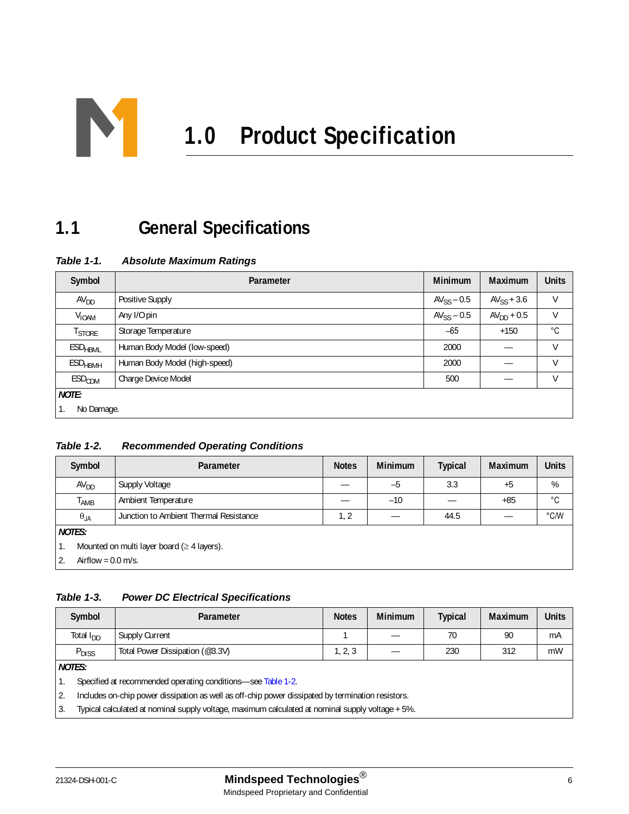<span id="page-5-1"></span>

### <span id="page-5-2"></span>**1.1 General Specifications**

<span id="page-5-3"></span>*Table 1-1. Absolute Maximum Ratings*

| Symbol                    | Parameter                     | <b>Minimum</b>  | <b>Maximum</b>  | <b>Units</b> |  |  |  |
|---------------------------|-------------------------------|-----------------|-----------------|--------------|--|--|--|
| AV <sub>DD</sub>          | Positive Supply               | $AV_{SS} - 0.5$ | $AV_{SS} + 3.6$ | $\vee$       |  |  |  |
| <b>V<sub>IOAM</sub></b>   | Any I/O pin                   | $AV_{SS}$ – 0.5 | $AVDD + 0.5$    | V            |  |  |  |
| <b>T</b> STORE            | Storage Temperature           | $-65$           | $+150$          | °C           |  |  |  |
| <b>ESD<sub>HBML</sub></b> | Human Body Model (low-speed)  | 2000            |                 | V            |  |  |  |
| <b>ESD<sub>HBMH</sub></b> | Human Body Model (high-speed) | 2000            |                 | $\vee$       |  |  |  |
| ESD <sub>CDM</sub>        | Charge Device Model           | 500             |                 | V            |  |  |  |
| <b>NOTE:</b>              |                               |                 |                 |              |  |  |  |
|                           | No Damage.                    |                 |                 |              |  |  |  |

#### <span id="page-5-4"></span><span id="page-5-0"></span>*Table 1-2. Recommended Operating Conditions*

| Symbol                     | Parameter                                        | <b>Notes</b> | <b>Minimum</b> | <b>Typical</b> | Maximum | <b>Units</b> |  |
|----------------------------|--------------------------------------------------|--------------|----------------|----------------|---------|--------------|--|
| AV <sub>DD</sub>           | Supply Voltage                                   |              | $-5$           | 3.3            | $+5$    | %            |  |
| Т <sub>АМВ</sub>           | Ambient Temperature                              |              | $-10$          |                | $+85$   | °C           |  |
| $\theta_{JA}$              | Junction to Ambient Thermal Resistance           | 1, 2         |                | 44.5           |         | °C/W         |  |
| <b>NOTES:</b>              |                                                  |              |                |                |         |              |  |
| 1.                         | Mounted on multi layer board ( $\geq 4$ layers). |              |                |                |         |              |  |
| Airflow = $0.0$ m/s.<br>2. |                                                  |              |                |                |         |              |  |

#### <span id="page-5-5"></span>*Table 1-3. Power DC Electrical Specifications*

| Symbol                | Parameter                                                                                         | <b>Notes</b> | <b>Minimum</b> | <b>Typical</b> | Maximum | <b>Units</b> |
|-----------------------|---------------------------------------------------------------------------------------------------|--------------|----------------|----------------|---------|--------------|
| Total I <sub>DD</sub> | Supply Current                                                                                    |              |                | 70             | 90      | mA           |
| P <sub>DISS</sub>     | Total Power Dissipation (@3.3V)                                                                   | 1, 2, 3      |                | 230            | 312     | mW           |
| <b>NOTES:</b>         |                                                                                                   |              |                |                |         |              |
| 1.                    | Specified at recommended operating conditions—see Table 1-2.                                      |              |                |                |         |              |
| 2.                    | Includes on-chip power dissipation as well as off-chip power dissipated by termination resistors. |              |                |                |         |              |
| 3.                    | Typical calculated at nominal supply voltage, maximum calculated at nominal supply voltage + 5%.  |              |                |                |         |              |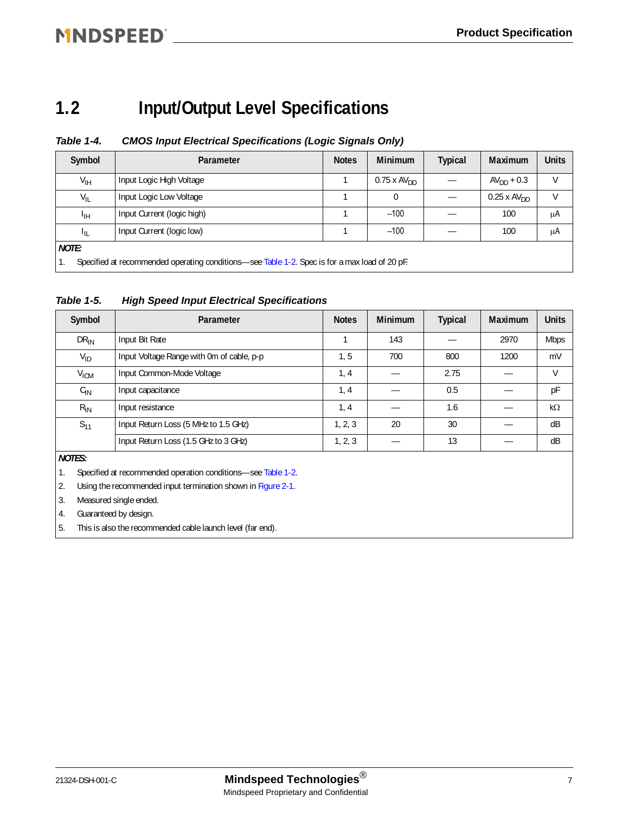### MNDSPEED <u>Section and the section of the section</u>

### <span id="page-6-0"></span>**1.2 Input/Output Level Specifications**

#### <span id="page-6-3"></span><span id="page-6-1"></span>*Table 1-4. CMOS Input Electrical Specifications (Logic Signals Only)*

| Symbol          | Parameter                                                                                     | <b>Notes</b> | <b>Minimum</b>     | Typical | <b>Maximum</b>     | <b>Units</b> |  |  |
|-----------------|-----------------------------------------------------------------------------------------------|--------------|--------------------|---------|--------------------|--------------|--|--|
| V <sub>IH</sub> | Input Logic High Voltage                                                                      |              | $0.75 \times AVDD$ |         | $AV_{DD} + 0.3$    |              |  |  |
| $V_{IL}$        | Input Logic Low Voltage                                                                       |              | 0                  |         | $0.25 \times AVDD$ |              |  |  |
| ЧH              | Input Current (logic high)                                                                    |              | $-100$             |         | 100                | μA           |  |  |
| կլ              | Input Current (logic low)                                                                     |              | $-100$             |         | 100                | μA           |  |  |
| <b>NOTE:</b>    |                                                                                               |              |                    |         |                    |              |  |  |
|                 | Specified at recommended operating conditions—see Table 1-2. Spec is for a max load of 20 pF. |              |                    |         |                    |              |  |  |

<span id="page-6-2"></span>*Table 1-5. High Speed Input Electrical Specifications*

| Symbol           | Parameter                                 | <b>Notes</b> | <b>Minimum</b> | <b>Typical</b> | <b>Maximum</b> | <b>Units</b> |
|------------------|-------------------------------------------|--------------|----------------|----------------|----------------|--------------|
| $DR_{IN}$        | Input Bit Rate                            |              | 143            |                | 2970           | <b>Mbps</b>  |
| $V_{ID}$         | Input Voltage Range with 0m of cable, p-p | 1, 5         | 700            | 800            | 1200           | mV           |
| V <sub>ICM</sub> | Input Common-Mode Voltage                 | 1, 4         |                | 2.75           |                | V            |
| $C_{IN}$         | Input capacitance                         | 1, 4         |                | 0.5            |                | рF           |
| $R_{IN}$         | Input resistance                          | 1, 4         |                | 1.6            |                | $k\Omega$    |
| $S_{11}$         | Input Return Loss (5 MHz to 1.5 GHz)      | 1, 2, 3      | 20             | 30             |                | dB           |
|                  | Input Return Loss (1.5 GHz to 3 GHz)      | 1, 2, 3      |                | 13             |                | dB           |
|                  |                                           |              |                |                |                |              |

*NOTES:*

1. Specified at recommended operation conditions—see [Table 1-2.](#page-5-4)

2. Using the recommended input termination shown in [Figure 2-1.](#page-13-5)

3. Measured single ended.

4. Guaranteed by design.

5. This is also the recommended cable launch level (far end).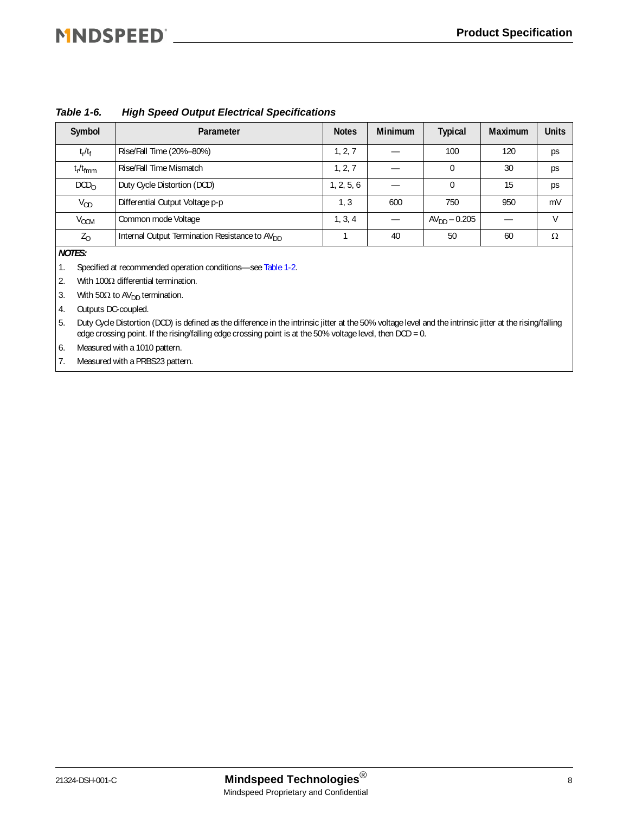## MNDSPEED®

| Symbol           | Parameter                                                  | <b>Notes</b> | <b>Minimum</b> | <b>Typical</b>    | <b>Maximum</b> | <b>Units</b> |
|------------------|------------------------------------------------------------|--------------|----------------|-------------------|----------------|--------------|
| $t_r/t_f$        | Rise/Fall Time (20%-80%)                                   | 1, 2, 7      |                | 100               | 120            | ps           |
| $t_r/t_{fmm}$    | Rise/Fall Time Mismatch                                    | 1, 2, 7      |                |                   | 30             | ps           |
| DCD <sub>O</sub> | Duty Cycle Distortion (DCD)                                | 1, 2, 5, 6   |                | $\Omega$          | 15             | ps           |
| $V_{OD}$         | Differential Output Voltage p-p                            | 1, 3         | 600            | 750               | 950            | mV           |
| $V_{OCM}$        | Common mode Voltage                                        | 1, 3, 4      |                | $AV_{DD} - 0.205$ |                | V            |
| $Z_0$            | Internal Output Termination Resistance to AV <sub>DD</sub> |              | 40             | 50                | 60             | Ω            |
|                  |                                                            |              |                |                   |                |              |

#### <span id="page-7-0"></span>*Table 1-6. High Speed Output Electrical Specifications*

*NOTES:*

1. Specified at recommended operation conditions—see [Table 1-2.](#page-5-4)

2. With 100Ω differential termination.

3. With  $50\Omega$  to AV<sub>DD</sub> termination.

4. Outputs DC-coupled.

5. Duty Cycle Distortion (DCD) is defined as the difference in the intrinsic jitter at the 50% voltage level and the intrinsic jitter at the rising/falling edge crossing point. If the rising/falling edge crossing point is at the 50% voltage level, then DCD = 0.

6. Measured with a 1010 pattern.

7. Measured with a PRBS23 pattern.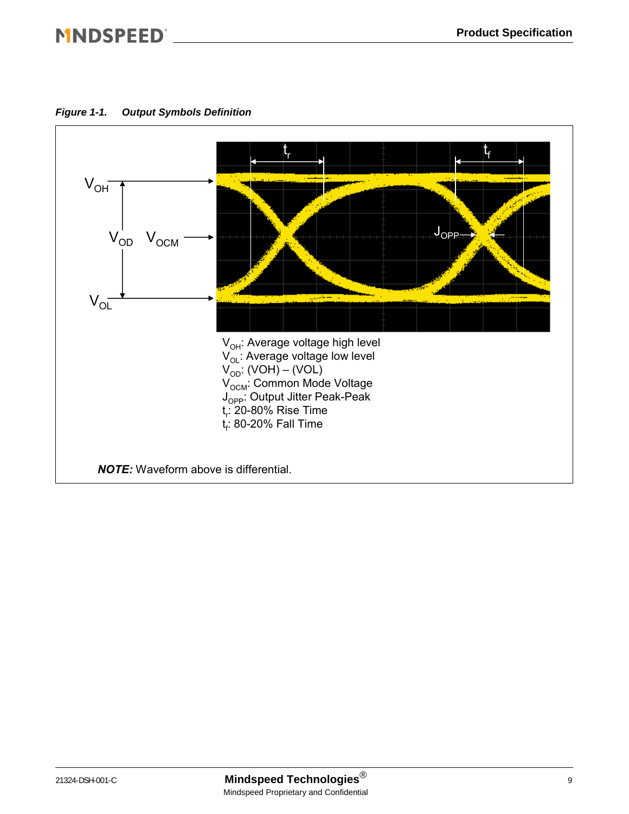### MNDSPEED® NORTH PRODUCED A SERVICED AND THE RESIDENCE OF A SERVICED AND THE RESIDENCE OF A SERVICE OF A SERVICE

<span id="page-8-0"></span>*Figure 1-1. Output Symbols Definition*

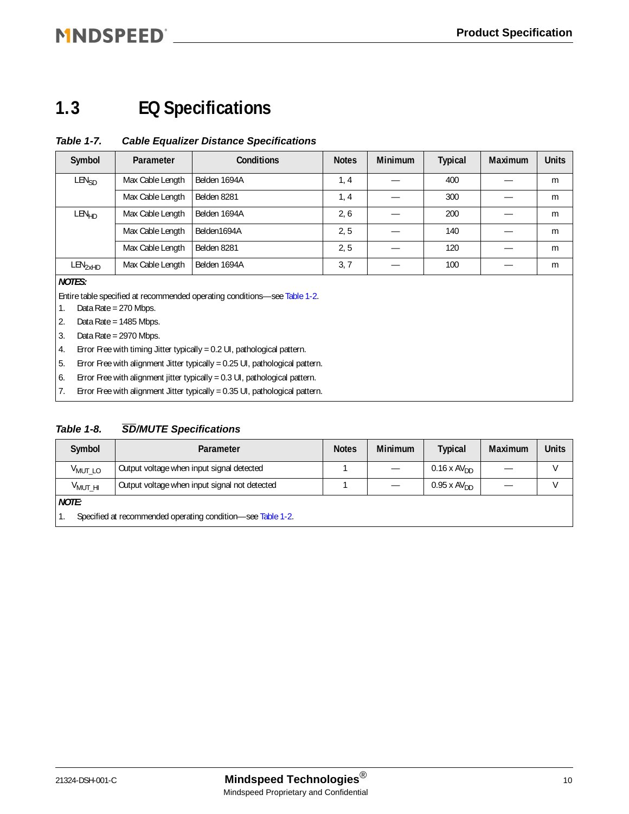### MNDSPEED®

### <span id="page-9-0"></span>**1.3 EQ Specifications**

#### <span id="page-9-1"></span>*Table 1-7. Cable Equalizer Distance Specifications*

| Symbol              | Parameter        | <b>Conditions</b> | <b>Notes</b> | <b>Minimum</b> | <b>Typical</b> | <b>Maximum</b> | <b>Units</b> |
|---------------------|------------------|-------------------|--------------|----------------|----------------|----------------|--------------|
| LEN <sub>SD</sub>   | Max Cable Length | Belden 1694A      | 1, 4         |                | 400            |                | m            |
|                     | Max Cable Length | Belden 8281       | 1, 4         |                | 300            |                | m            |
| LEN <sub>HD</sub>   | Max Cable Length | Belden 1694A      | 2, 6         |                | 200            |                | m            |
|                     | Max Cable Length | Belden1694A       | 2, 5         |                | 140            |                | m            |
|                     | Max Cable Length | Belden 8281       | 2, 5         |                | 120            |                | m            |
| LEN <sub>2xHD</sub> | Max Cable Length | Belden 1694A      | 3, 7         |                | 100            |                | m            |

#### *NOTES:*

Entire table specified at recommended operating conditions—see [Table 1-2](#page-5-4).

- 1. Data Rate = 270 Mbps.
- 2. Data Rate = 1485 Mbps.
- 3. Data Rate = 2970 Mbps.
- 4. Error Free with timing Jitter typically = 0.2 UI, pathological pattern.
- 5. Error Free with alignment Jitter typically = 0.25 UI, pathological pattern.
- 6. Error Free with alignment jitter typically = 0.3 UI, pathological pattern.
- 7. Error Free with alignment Jitter typically = 0.35 UI, pathological pattern.

#### <span id="page-9-2"></span>*Table 1-8. SD/MUTE Specifications*

| Symbol                                                      | Parameter                                     | <b>Notes</b> | <b>Minimum</b> | <b>Typical</b>        | Maximum | <b>Units</b> |
|-------------------------------------------------------------|-----------------------------------------------|--------------|----------------|-----------------------|---------|--------------|
| V <sub>MUTLO</sub>                                          | Output voltage when input signal detected     |              |                | $0.16 \times AV_{DD}$ |         |              |
| $V_{MUT HI}$                                                | Output voltage when input signal not detected |              |                | $0.95 \times AV_{DD}$ |         |              |
| <b>NOTE:</b>                                                |                                               |              |                |                       |         |              |
| Specified at recommended operating condition-see Table 1-2. |                                               |              |                |                       |         |              |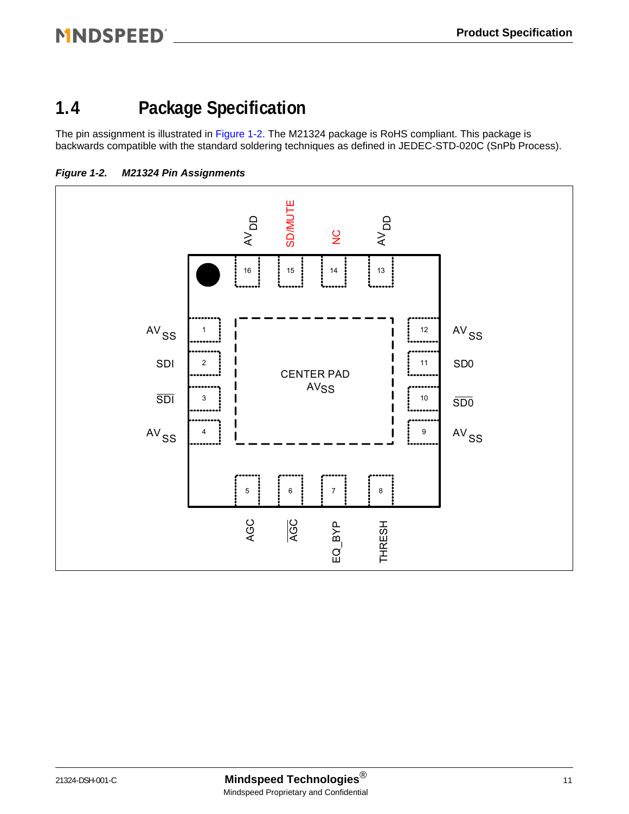### <span id="page-10-0"></span>**1.4 Package Specification**

The pin assignment is illustrated in [Figure 1-2.](#page-10-1) The M21324 package is RoHS compliant. This package is backwards compatible with the standard soldering techniques as defined in JEDEC-STD-020C (SnPb Process).

<span id="page-10-1"></span>

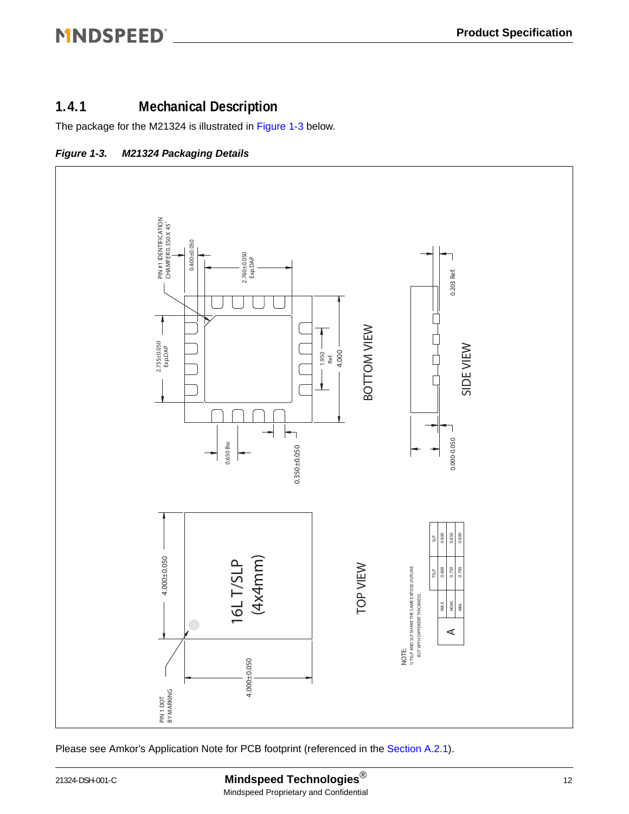### <span id="page-11-0"></span>**1.4.1 Mechanical Description**

The package for the M21324 is illustrated in [Figure 1-3](#page-11-1) below.

<span id="page-11-1"></span>



Please see Amkor's Application Note for PCB footprint (referenced in the [Section A.2.1](#page-18-2)).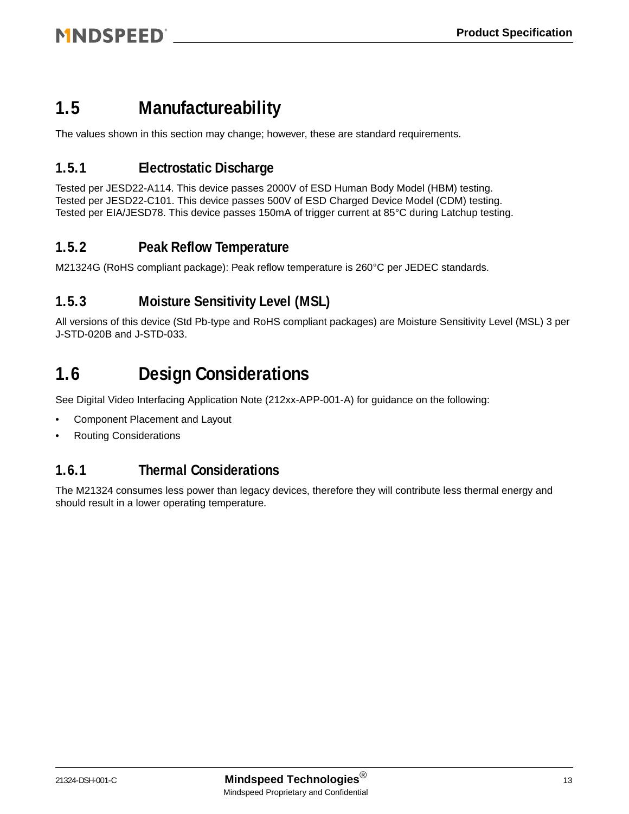### <span id="page-12-0"></span>**1.5 Manufactureability**

The values shown in this section may change; however, these are standard requirements.

#### <span id="page-12-1"></span>**1.5.1 Electrostatic Discharge**

Tested per JESD22-A114. This device passes 2000V of ESD Human Body Model (HBM) testing. Tested per JESD22-C101. This device passes 500V of ESD Charged Device Model (CDM) testing. Tested per EIA/JESD78. This device passes 150mA of trigger current at 85°C during Latchup testing.

#### <span id="page-12-2"></span>**1.5.2 Peak Reflow Temperature**

M21324G (RoHS compliant package): Peak reflow temperature is 260°C per JEDEC standards.

#### <span id="page-12-3"></span>**1.5.3 Moisture Sensitivity Level (MSL)**

All versions of this device (Std Pb-type and RoHS compliant packages) are Moisture Sensitivity Level (MSL) 3 per J-STD-020B and J-STD-033.

### <span id="page-12-4"></span>**1.6 Design Considerations**

See Digital Video Interfacing Application Note (212xx-APP-001-A) for guidance on the following:

- Component Placement and Layout
- Routing Considerations

#### <span id="page-12-5"></span>**1.6.1 Thermal Considerations**

The M21324 consumes less power than legacy devices, therefore they will contribute less thermal energy and should result in a lower operating temperature.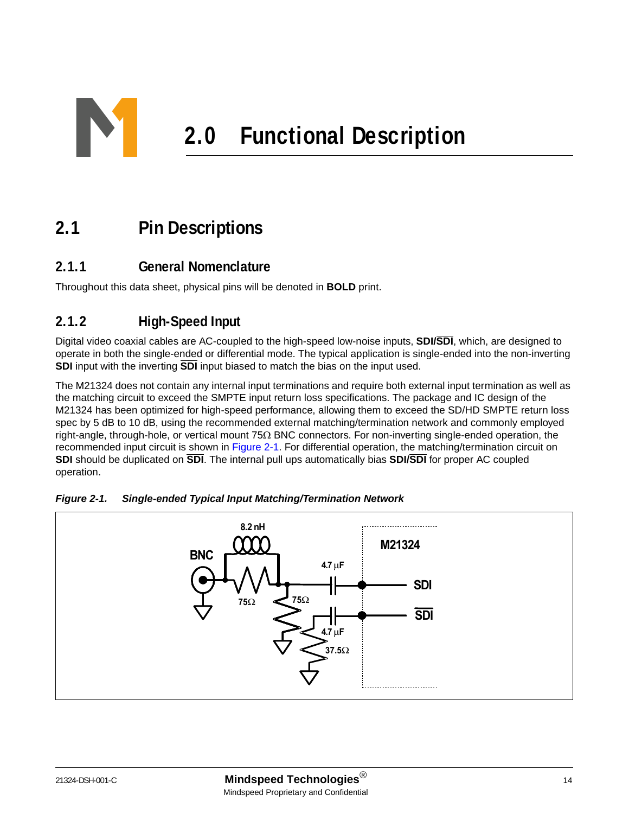<span id="page-13-0"></span>

### <span id="page-13-1"></span>**2.1 Pin Descriptions**

#### <span id="page-13-2"></span>**2.1.1 General Nomenclature**

Throughout this data sheet, physical pins will be denoted in **BOLD** print.

#### <span id="page-13-3"></span>**2.1.2 High-Speed Input**

Digital video coaxial cables are AC-coupled to the high-speed low-noise inputs, **SDI/SDI**, which, are designed to operate in both the single-ended or differential mode. The typical application is single-ended into the non-inverting **SDI** input with the inverting **SDI** input biased to match the bias on the input used.

The M21324 does not contain any internal input terminations and require both external input termination as well as the matching circuit to exceed the SMPTE input return loss specifications. The package and IC design of the M21324 has been optimized for high-speed performance, allowing them to exceed the SD/HD SMPTE return loss spec by 5 dB to 10 dB, using the recommended external matching/termination network and commonly employed right-angle, through-hole, or vertical mount 75Ω BNC connectors. For non-inverting single-ended operation, the recommended input circuit is shown in [Figure 2-1.](#page-13-4) For differential operation, the matching/termination circuit on **SDI** should be duplicated on **SDI**. The internal pull ups automatically bias **SDI/SDI** for proper AC coupled operation.



<span id="page-13-5"></span><span id="page-13-4"></span>*Figure 2-1. Single-ended Typical Input Matching/Termination Network*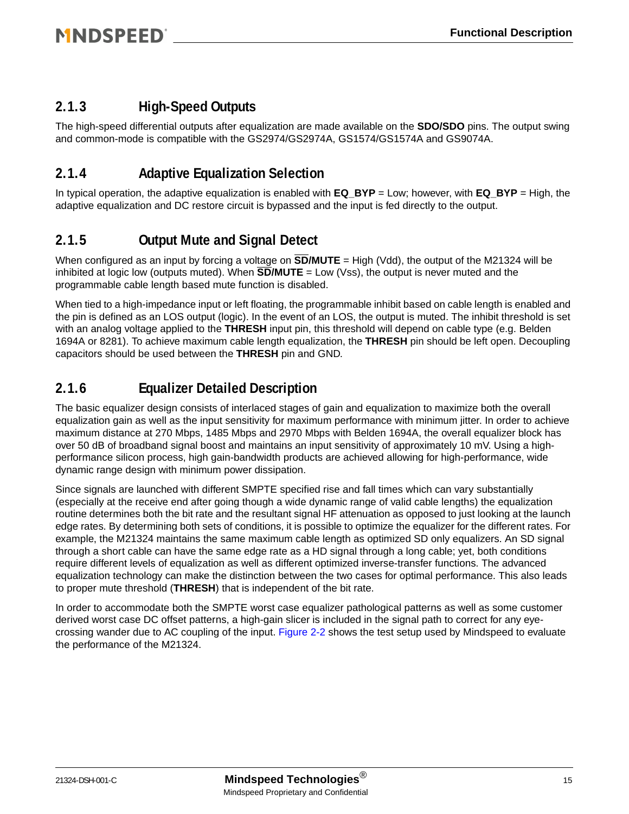#### <span id="page-14-0"></span>**2.1.3 High-Speed Outputs**

The high-speed differential outputs after equalization are made available on the **SDO/SDO** pins. The output swing and common-mode is compatible with the GS2974/GS2974A, GS1574/GS1574A and GS9074A.

#### <span id="page-14-1"></span>**2.1.4 Adaptive Equalization Selection**

In typical operation, the adaptive equalization is enabled with **EQ\_BYP** = Low; however, with **EQ\_BYP** = High, the adaptive equalization and DC restore circuit is bypassed and the input is fed directly to the output.

#### <span id="page-14-2"></span>**2.1.5 Output Mute and Signal Detect**

When configured as an input by forcing a voltage on **SD/MUTE** = High (Vdd), the output of the M21324 will be inhibited at logic low (outputs muted). When  $\overline{SD/MUTE}$  = Low (Vss), the output is never muted and the programmable cable length based mute function is disabled.

When tied to a high-impedance input or left floating, the programmable inhibit based on cable length is enabled and the pin is defined as an LOS output (logic). In the event of an LOS, the output is muted. The inhibit threshold is set with an analog voltage applied to the **THRESH** input pin, this threshold will depend on cable type (e.g. Belden 1694A or 8281). To achieve maximum cable length equalization, the **THRESH** pin should be left open. Decoupling capacitors should be used between the **THRESH** pin and GND.

#### <span id="page-14-3"></span>**2.1.6 Equalizer Detailed Description**

The basic equalizer design consists of interlaced stages of gain and equalization to maximize both the overall equalization gain as well as the input sensitivity for maximum performance with minimum jitter. In order to achieve maximum distance at 270 Mbps, 1485 Mbps and 2970 Mbps with Belden 1694A, the overall equalizer block has over 50 dB of broadband signal boost and maintains an input sensitivity of approximately 10 mV. Using a highperformance silicon process, high gain-bandwidth products are achieved allowing for high-performance, wide dynamic range design with minimum power dissipation.

Since signals are launched with different SMPTE specified rise and fall times which can vary substantially (especially at the receive end after going though a wide dynamic range of valid cable lengths) the equalization routine determines both the bit rate and the resultant signal HF attenuation as opposed to just looking at the launch edge rates. By determining both sets of conditions, it is possible to optimize the equalizer for the different rates. For example, the M21324 maintains the same maximum cable length as optimized SD only equalizers. An SD signal through a short cable can have the same edge rate as a HD signal through a long cable; yet, both conditions require different levels of equalization as well as different optimized inverse-transfer functions. The advanced equalization technology can make the distinction between the two cases for optimal performance. This also leads to proper mute threshold (**THRESH**) that is independent of the bit rate.

In order to accommodate both the SMPTE worst case equalizer pathological patterns as well as some customer derived worst case DC offset patterns, a high-gain slicer is included in the signal path to correct for any eyecrossing wander due to AC coupling of the input. [Figure 2-2](#page-15-1) shows the test setup used by Mindspeed to evaluate the performance of the M21324.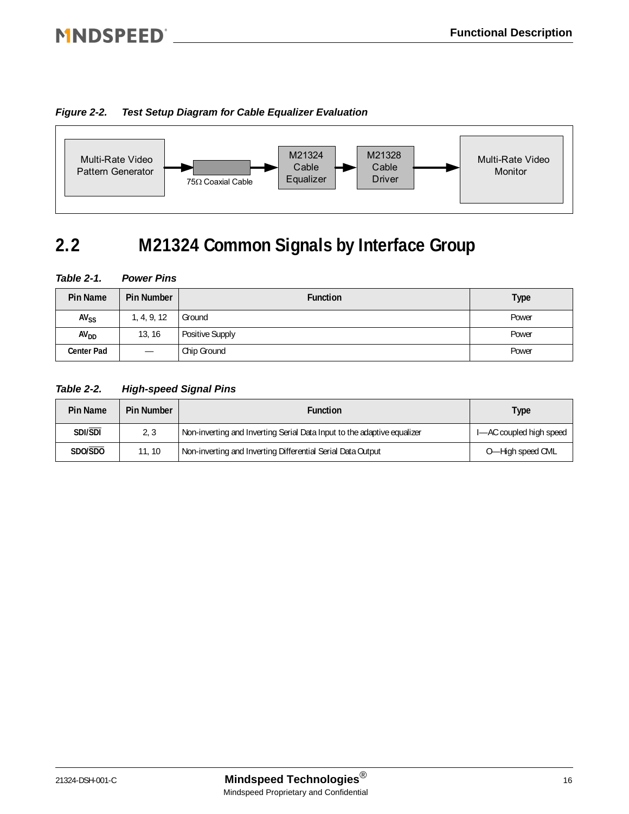#### <span id="page-15-1"></span>*Figure 2-2. Test Setup Diagram for Cable Equalizer Evaluation*



### <span id="page-15-0"></span>**2.2 M21324 Common Signals by Interface Group**

#### <span id="page-15-2"></span>*Table 2-1. Power Pins*

| <b>Pin Name</b>        | <b>Pin Number</b> | <b>Function</b>        | <b>Type</b> |
|------------------------|-------------------|------------------------|-------------|
| <b>AV<sub>SS</sub></b> | 1, 4, 9, 12       | Ground                 | Power       |
| AV <sub>DD</sub>       | 13, 16            | <b>Positive Supply</b> | Power       |
| <b>Center Pad</b>      | —                 | Chip Ground            | Power       |

#### <span id="page-15-3"></span>*Table 2-2. High-speed Signal Pins*

| Pin Name | <b>Pin Number</b> | <b>Function</b>                                                         | Type                    |  |
|----------|-------------------|-------------------------------------------------------------------------|-------------------------|--|
| SDI/SDI  | 2, 3              | Non-inverting and Inverting Serial Data Input to the adaptive equalizer | I-AC coupled high speed |  |
| SDO/SDO  | 11, 10            | Non-inverting and Inverting Differential Serial Data Output             | O-High speed CML        |  |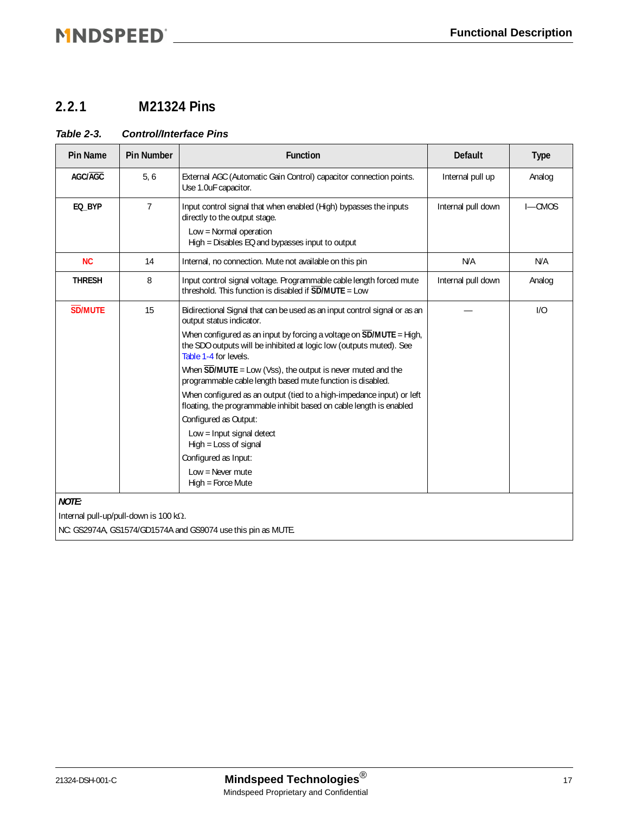### 

#### <span id="page-16-0"></span>**2.2.1 M21324 Pins**

#### <span id="page-16-1"></span>*Table 2-3. Control/Interface Pins*

| <b>Pin Name</b>                                | <b>Pin Number</b> | <b>Function</b>                                                                                                                                                                   | <b>Default</b>     | <b>Type</b> |
|------------------------------------------------|-------------------|-----------------------------------------------------------------------------------------------------------------------------------------------------------------------------------|--------------------|-------------|
| AGC/AGC                                        | 5, 6              | External AGC (Automatic Gain Control) capacitor connection points.<br>Use 1.0uF capacitor.                                                                                        | Internal pull up   | Analog      |
| EQ_BYP                                         | $\overline{7}$    | Input control signal that when enabled (High) bypasses the inputs<br>directly to the output stage.<br>Low = Normal operation<br>High = Disables EQ and bypasses input to output   | Internal pull down | $I - CMOS$  |
| <b>NC</b>                                      | 14                | Internal, no connection. Mute not available on this pin                                                                                                                           | N/A                | N/A         |
| <b>THRESH</b>                                  | 8                 | Input control signal voltage. Programmable cable length forced mute<br>threshold. This function is disabled if $\overline{SD}/MUTE =$ Low                                         | Internal pull down | Analog      |
| <b>SD/MUTE</b>                                 | 15                | Bidirectional Signal that can be used as an input control signal or as an<br>output status indicator.                                                                             |                    | 1/0         |
|                                                |                   | When configured as an input by forcing a voltage on $\overline{SD}$ /MUTE = High,<br>the SDO outputs will be inhibited at logic low (outputs muted). See<br>Table 1-4 for levels. |                    |             |
|                                                |                   | When $\overline{SD}/MUTE =$ Low (Vss), the output is never muted and the<br>programmable cable length based mute function is disabled.                                            |                    |             |
|                                                |                   | When configured as an output (tied to a high-impedance input) or left<br>floating, the programmable inhibit based on cable length is enabled                                      |                    |             |
|                                                |                   | Configured as Output:                                                                                                                                                             |                    |             |
|                                                |                   | Low = Input signal detect<br>High = Loss of signal                                                                                                                                |                    |             |
|                                                |                   | Configured as Input:                                                                                                                                                              |                    |             |
|                                                |                   | Low = Never mute<br>High = Force Mute                                                                                                                                             |                    |             |
| <b>NOTE:</b>                                   |                   |                                                                                                                                                                                   |                    |             |
| Internal pull-up/pull-down is 100 k $\Omega$ . |                   |                                                                                                                                                                                   |                    |             |
|                                                |                   | NC: GS2974A, GS1574/GD1574A and GS9074 use this pin as MUTE.                                                                                                                      |                    |             |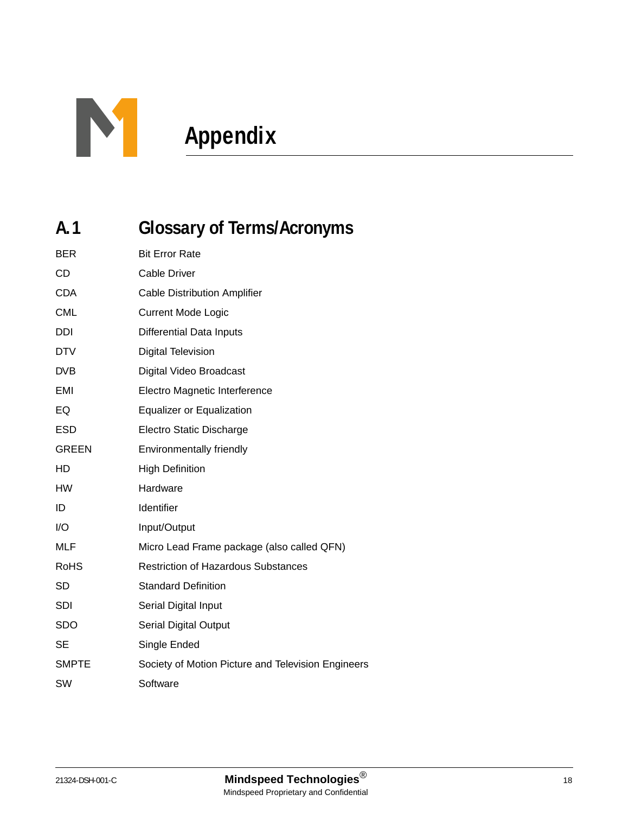

# <span id="page-17-0"></span>**Appendix**

### <span id="page-17-1"></span>**A.1 Glossary of Terms/Acronyms**

| <b>BER</b>   | <b>Bit Error Rate</b>                              |
|--------------|----------------------------------------------------|
| <b>CD</b>    | <b>Cable Driver</b>                                |
| <b>CDA</b>   | <b>Cable Distribution Amplifier</b>                |
| <b>CML</b>   | <b>Current Mode Logic</b>                          |
| <b>DDI</b>   | <b>Differential Data Inputs</b>                    |
| <b>DTV</b>   | <b>Digital Television</b>                          |
| <b>DVB</b>   | Digital Video Broadcast                            |
| EMI          | Electro Magnetic Interference                      |
| EQ           | <b>Equalizer or Equalization</b>                   |
| <b>ESD</b>   | Electro Static Discharge                           |
| <b>GREEN</b> | Environmentally friendly                           |
| HD           | <b>High Definition</b>                             |
| <b>HW</b>    | Hardware                                           |
| ID           | Identifier                                         |
| I/O          | Input/Output                                       |
| MLF          | Micro Lead Frame package (also called QFN)         |
| <b>RoHS</b>  | <b>Restriction of Hazardous Substances</b>         |
| SD           | <b>Standard Definition</b>                         |
| <b>SDI</b>   | Serial Digital Input                               |
| <b>SDO</b>   | <b>Serial Digital Output</b>                       |
| <b>SE</b>    | Single Ended                                       |
| <b>SMPTE</b> | Society of Motion Picture and Television Engineers |
| SW           | Software                                           |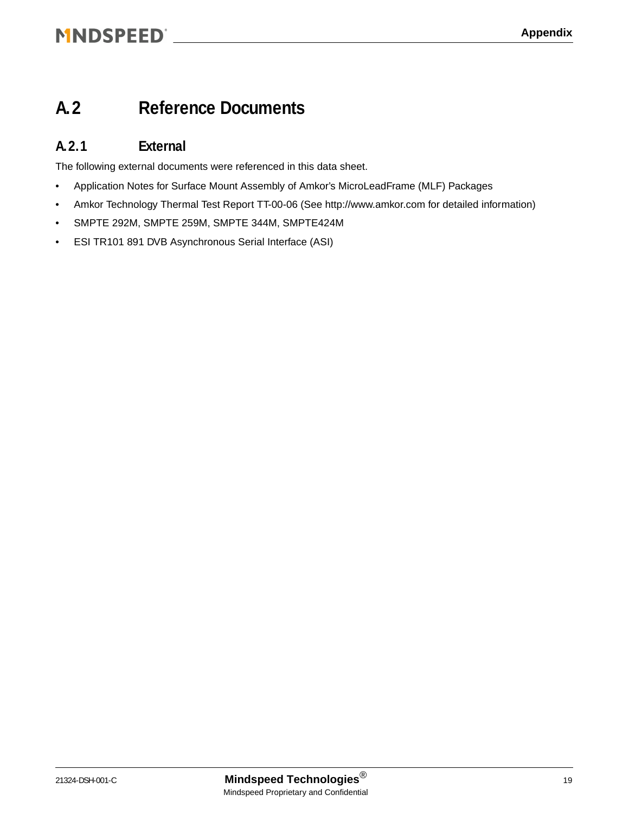### MNDSPEED® NORTH PRODUCED A SERVICED AND THE RESIDENCE OF A SERVICED AND THE RESIDENCE OF A SERVICE OF A SERVICE

### <span id="page-18-0"></span>**A.2 Reference Documents**

#### <span id="page-18-2"></span><span id="page-18-1"></span>**A.2.1 External**

The following external documents were referenced in this data sheet.

- Application Notes for Surface Mount Assembly of Amkor's MicroLeadFrame (MLF) Packages
- Amkor Technology Thermal Test Report TT-00-06 (See http://www.amkor.com for detailed information)
- SMPTE 292M, SMPTE 259M, SMPTE 344M, SMPTE424M
- ESI TR101 891 DVB Asynchronous Serial Interface (ASI)